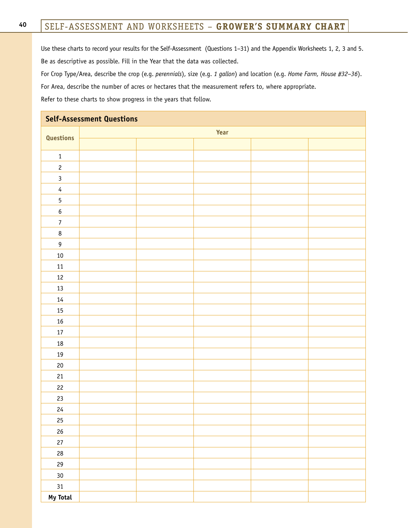### SELF-ASSESSMENT AND WORKSHEETS – **GROWER'S SUMMARY CHART**

Use these charts to record your results for the Self-Assessment (Questions 1–31) and the Appendix Worksheets 1, 2, 3 and 5. Be as descriptive as possible. Fill in the Year that the data was collected.

For Crop Type/Area, describe the crop (e.g. *perennials*), size (e.g. *1 gallon*) and location (e.g. *Home Farm, House #32–36*). For Area, describe the number of acres or hectares that the measurement refers to, where appropriate. Refer to these charts to show progress in the years that follow.

| <b>Self-Assessment Questions</b> |      |  |  |  |  |  |  |
|----------------------------------|------|--|--|--|--|--|--|
| Questions                        | Year |  |  |  |  |  |  |
|                                  |      |  |  |  |  |  |  |
| $1\,$                            |      |  |  |  |  |  |  |
| $\overline{c}$                   |      |  |  |  |  |  |  |
| $\mathbf{3}$                     |      |  |  |  |  |  |  |
| $\overline{4}$                   |      |  |  |  |  |  |  |
| $\overline{5}$                   |      |  |  |  |  |  |  |
| $\boldsymbol{6}$                 |      |  |  |  |  |  |  |
| $\boldsymbol{7}$                 |      |  |  |  |  |  |  |
| $\bf 8$                          |      |  |  |  |  |  |  |
| $\boldsymbol{9}$                 |      |  |  |  |  |  |  |
| $10\,$                           |      |  |  |  |  |  |  |
| $11\,$                           |      |  |  |  |  |  |  |
| $12\,$                           |      |  |  |  |  |  |  |
| 13                               |      |  |  |  |  |  |  |
| $14\,$                           |      |  |  |  |  |  |  |
| 15                               |      |  |  |  |  |  |  |
| $16\,$                           |      |  |  |  |  |  |  |
| $17\,$                           |      |  |  |  |  |  |  |
| $18\,$                           |      |  |  |  |  |  |  |
| $19\,$                           |      |  |  |  |  |  |  |
| $20\,$                           |      |  |  |  |  |  |  |
| 21                               |      |  |  |  |  |  |  |
| 22                               |      |  |  |  |  |  |  |
| 23                               |      |  |  |  |  |  |  |
| 24                               |      |  |  |  |  |  |  |
| $25\,$                           |      |  |  |  |  |  |  |
| $26\,$                           |      |  |  |  |  |  |  |
| $27\,$                           |      |  |  |  |  |  |  |
| ${\bf 28}$                       |      |  |  |  |  |  |  |
| $29\,$                           |      |  |  |  |  |  |  |
| $30\,$                           |      |  |  |  |  |  |  |
| 31                               |      |  |  |  |  |  |  |
| My Total                         |      |  |  |  |  |  |  |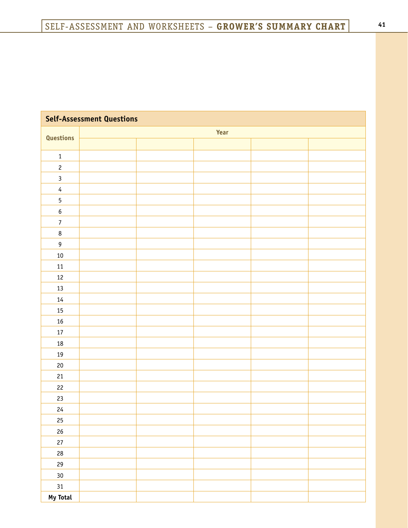| <b>Self-Assessment Questions</b> |      |  |  |  |  |  |  |
|----------------------------------|------|--|--|--|--|--|--|
| Questions                        | Year |  |  |  |  |  |  |
|                                  |      |  |  |  |  |  |  |
| $\mathbf 1$                      |      |  |  |  |  |  |  |
| $\overline{c}$                   |      |  |  |  |  |  |  |
| $\mathbf{3}$                     |      |  |  |  |  |  |  |
| $\overline{4}$                   |      |  |  |  |  |  |  |
| $\sqrt{5}$                       |      |  |  |  |  |  |  |
| $\boldsymbol{6}$                 |      |  |  |  |  |  |  |
| $\boldsymbol{7}$                 |      |  |  |  |  |  |  |
| $\bf 8$                          |      |  |  |  |  |  |  |
| $\boldsymbol{9}$                 |      |  |  |  |  |  |  |
| $10\,$                           |      |  |  |  |  |  |  |
| $11\,$                           |      |  |  |  |  |  |  |
| $12\,$                           |      |  |  |  |  |  |  |
| 13                               |      |  |  |  |  |  |  |
| $14\,$                           |      |  |  |  |  |  |  |
| $15\,$                           |      |  |  |  |  |  |  |
| $16\,$                           |      |  |  |  |  |  |  |
| $17\,$                           |      |  |  |  |  |  |  |
| $18\,$                           |      |  |  |  |  |  |  |
| $19\,$                           |      |  |  |  |  |  |  |
| $20\,$                           |      |  |  |  |  |  |  |
| 21                               |      |  |  |  |  |  |  |
| $22\,$                           |      |  |  |  |  |  |  |
| 23                               |      |  |  |  |  |  |  |
| 24                               |      |  |  |  |  |  |  |
| $25\,$                           |      |  |  |  |  |  |  |
| $26\,$                           |      |  |  |  |  |  |  |
| $27\,$                           |      |  |  |  |  |  |  |
| ${\bf 28}$                       |      |  |  |  |  |  |  |
| ${\bf 29}$                       |      |  |  |  |  |  |  |
| $30\,$                           |      |  |  |  |  |  |  |
| 31                               |      |  |  |  |  |  |  |
| My Total                         |      |  |  |  |  |  |  |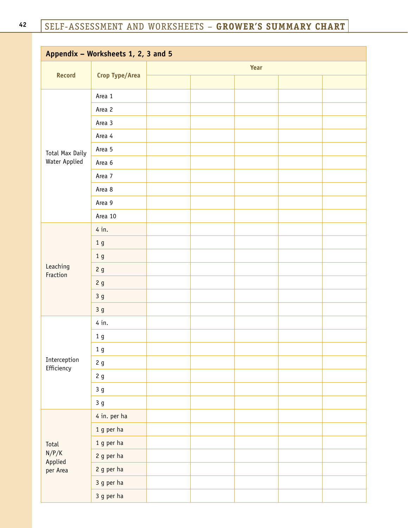| Appendix - Worksheets 1, 2, 3 and 5 |                |      |  |  |  |  |
|-------------------------------------|----------------|------|--|--|--|--|
|                                     | Crop Type/Area | Year |  |  |  |  |
| <b>Record</b>                       |                |      |  |  |  |  |
| Total Max Daily                     | Area 1         |      |  |  |  |  |
|                                     | Area 2         |      |  |  |  |  |
|                                     | Area 3         |      |  |  |  |  |
|                                     | Area 4         |      |  |  |  |  |
|                                     | Area 5         |      |  |  |  |  |
| Water Applied                       | Area 6         |      |  |  |  |  |
|                                     | Area 7         |      |  |  |  |  |
|                                     | Area 8         |      |  |  |  |  |
|                                     | Area 9         |      |  |  |  |  |
|                                     | Area 10        |      |  |  |  |  |
|                                     | 4 in.          |      |  |  |  |  |
|                                     | 1 <sub>g</sub> |      |  |  |  |  |
|                                     | 1 <sub>g</sub> |      |  |  |  |  |
| Leaching<br>Fraction                | 2g             |      |  |  |  |  |
|                                     | 2g             |      |  |  |  |  |
|                                     | 3g             |      |  |  |  |  |
|                                     | 3g             |      |  |  |  |  |
|                                     | 4 in.          |      |  |  |  |  |
|                                     | 1 <sub>g</sub> |      |  |  |  |  |
|                                     | $1\;{\rm g}$   |      |  |  |  |  |
| Interception<br>Efficiency          | 2g             |      |  |  |  |  |
|                                     | 2g             |      |  |  |  |  |
|                                     | 3g             |      |  |  |  |  |
|                                     | 3g             |      |  |  |  |  |
|                                     | 4 in. per ha   |      |  |  |  |  |
|                                     | 1 g per ha     |      |  |  |  |  |
| Total                               | 1 g per ha     |      |  |  |  |  |
| N/P/K                               | 2 g per ha     |      |  |  |  |  |
| Applied<br>per Area                 | 2 g per ha     |      |  |  |  |  |
|                                     | 3 g per ha     |      |  |  |  |  |
|                                     | 3 g per ha     |      |  |  |  |  |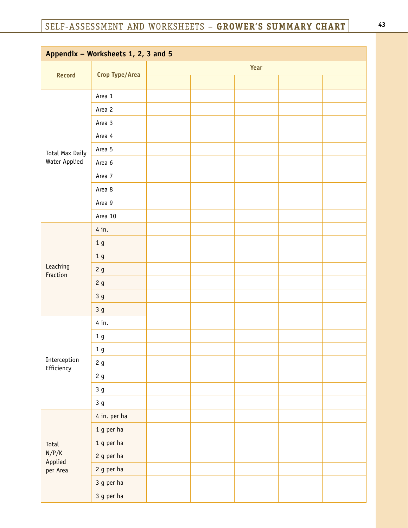| Appendix - Worksheets 1, 2, 3 and 5 |                |      |  |  |  |  |
|-------------------------------------|----------------|------|--|--|--|--|
|                                     | Crop Type/Area | Year |  |  |  |  |
| <b>Record</b>                       |                |      |  |  |  |  |
|                                     | Area 1         |      |  |  |  |  |
|                                     | Area 2         |      |  |  |  |  |
| Total Max Daily<br>Water Applied    | Area 3         |      |  |  |  |  |
|                                     | Area 4         |      |  |  |  |  |
|                                     | Area 5         |      |  |  |  |  |
|                                     | Area 6         |      |  |  |  |  |
|                                     | Area 7         |      |  |  |  |  |
|                                     | Area 8         |      |  |  |  |  |
|                                     | Area 9         |      |  |  |  |  |
|                                     | Area 10        |      |  |  |  |  |
|                                     | 4 in.          |      |  |  |  |  |
|                                     | 1 <sub>g</sub> |      |  |  |  |  |
|                                     | 1 <sub>g</sub> |      |  |  |  |  |
| Leaching<br>Fraction                | 2g             |      |  |  |  |  |
|                                     | 2g             |      |  |  |  |  |
|                                     | 3 <sub>g</sub> |      |  |  |  |  |
|                                     | 3 <sub>g</sub> |      |  |  |  |  |
|                                     | 4 in.          |      |  |  |  |  |
|                                     | 1 <sub>g</sub> |      |  |  |  |  |
|                                     | $1\;{\rm g}$   |      |  |  |  |  |
| Interception<br>Efficiency          | 2g             |      |  |  |  |  |
|                                     | 2g             |      |  |  |  |  |
|                                     | 3g             |      |  |  |  |  |
|                                     | 3g             |      |  |  |  |  |
|                                     | 4 in. per ha   |      |  |  |  |  |
|                                     | 1 g per ha     |      |  |  |  |  |
| Total                               | 1 g per ha     |      |  |  |  |  |
| N/P/K<br>Applied                    | 2 g per ha     |      |  |  |  |  |
| per Area                            | 2 g per ha     |      |  |  |  |  |
|                                     | 3 g per ha     |      |  |  |  |  |
|                                     | 3 g per ha     |      |  |  |  |  |